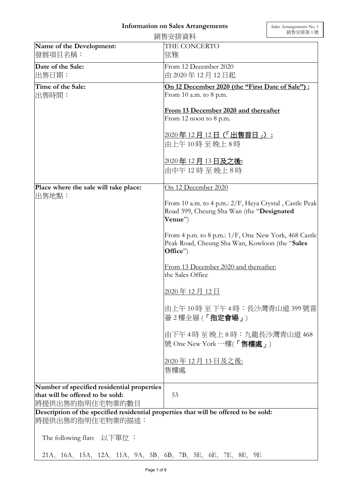## **Information on Sales Arrangements**

|                                                                                                           | 銷售安排資料                                                                                                    | 朔售安排弟 1 號 |  |
|-----------------------------------------------------------------------------------------------------------|-----------------------------------------------------------------------------------------------------------|-----------|--|
| Name of the Development:                                                                                  | THE CONCERTO                                                                                              |           |  |
| 發展項目名稱:                                                                                                   | 弦雅                                                                                                        |           |  |
| Date of the Sale:                                                                                         | From 12 December 2020                                                                                     |           |  |
| 出售日期:                                                                                                     | 由 2020年12月12日起                                                                                            |           |  |
|                                                                                                           |                                                                                                           |           |  |
| Time of the Sale:                                                                                         | On 12 December 2020 (the "First Date of Sale"):<br>From 10 a.m. to 8 p.m.                                 |           |  |
| 出售時間:                                                                                                     |                                                                                                           |           |  |
|                                                                                                           | From 13 December 2020 and thereafter                                                                      |           |  |
|                                                                                                           | From 12 noon to 8 p.m.                                                                                    |           |  |
|                                                                                                           |                                                                                                           |           |  |
|                                                                                                           | <u> 2020年12月12日(「出售首日」):</u>                                                                              |           |  |
|                                                                                                           | 由上午10時至晚上8時                                                                                               |           |  |
|                                                                                                           |                                                                                                           |           |  |
|                                                                                                           | <u> 2020年 12 月 13 日及之後:</u>                                                                               |           |  |
|                                                                                                           | 由中午12時至晚上8時                                                                                               |           |  |
| Place where the sale will take place:                                                                     | On 12 December 2020                                                                                       |           |  |
| 出售地點:                                                                                                     |                                                                                                           |           |  |
|                                                                                                           | From 10 a.m. to 4 p.m.: 2/F, Heya Crystal, Castle Peak                                                    |           |  |
|                                                                                                           | Road 399, Cheung Sha Wan (the "Designated                                                                 |           |  |
|                                                                                                           | Venue")                                                                                                   |           |  |
|                                                                                                           |                                                                                                           |           |  |
|                                                                                                           | From 4 p.m. to 8 p.m.: $1/F$ , One New York, 468 Castle<br>Peak Road, Cheung Sha Wan, Kowloon (the "Sales |           |  |
|                                                                                                           | Office")                                                                                                  |           |  |
|                                                                                                           |                                                                                                           |           |  |
|                                                                                                           | From 13 December 2020 and thereafter:                                                                     |           |  |
|                                                                                                           | the Sales Office                                                                                          |           |  |
|                                                                                                           |                                                                                                           |           |  |
|                                                                                                           | 2020年12月12日                                                                                               |           |  |
|                                                                                                           | 由上午 10 時 至 下午 4 時:長沙灣青山道 399 號喜                                                                           |           |  |
|                                                                                                           | 薈2樓全層(「指定會場」)                                                                                             |           |  |
|                                                                                                           |                                                                                                           |           |  |
|                                                                                                           | 由下午 4時 至 晚上 8 時:九龍長沙灣青山道 468                                                                              |           |  |
|                                                                                                           | 號 One New York 一樓(「售樓處」)                                                                                  |           |  |
|                                                                                                           |                                                                                                           |           |  |
|                                                                                                           | 2020年12月13日及之後:                                                                                           |           |  |
|                                                                                                           | 售樓處                                                                                                       |           |  |
|                                                                                                           |                                                                                                           |           |  |
| Number of specified residential properties                                                                |                                                                                                           |           |  |
| that will be offered to be sold:                                                                          | 53                                                                                                        |           |  |
| 將提供出售的指明住宅物業的數目                                                                                           |                                                                                                           |           |  |
| Description of the specified residential properties that will be offered to be sold:<br> 將提供出售的指明住宅物業的描述: |                                                                                                           |           |  |
|                                                                                                           |                                                                                                           |           |  |
| The following flats 以下單位:                                                                                 |                                                                                                           |           |  |
|                                                                                                           |                                                                                                           |           |  |
| 21A, 16A, 15A, 12A, 11A, 9A, 5B, 6B, 7B, 5E, 6E, 7E, 8E, 9E                                               |                                                                                                           |           |  |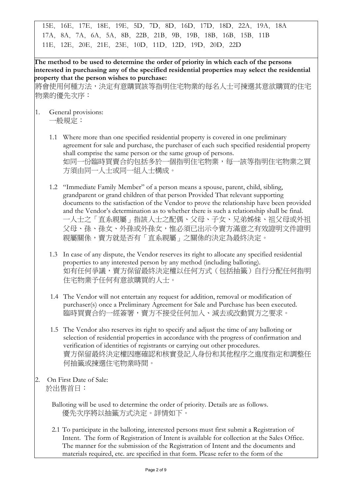15E,16E,17E,18E,19E,5D,7D,8D,16D,17D,18D,22A,19A,18A 17A,8A,7A,6A,5A,8B,22B,21B,9B,19B,18B,16B,15B,11B 11E,12E,20E,21E,23E,10D,11D,12D,19D,20D,22D

**The method to be used to determine the order of priority in which each of the persons interested in purchasing any of the specified residential properties may select the residential property that the person wishes to purchase:** 

將會使用何種方法,決定有意購買該等指明住宅物業的每名人士可揀選其意欲購買的住宅 物業的優先次序:

- 1. General provisions: 一般規定:
	- 1.1 Where more than one specified residential property is covered in one preliminary agreement for sale and purchase, the purchaser of each such specified residential property shall comprise the same person or the same group of persons. 如同一份臨時買賣合約包括多於一個指明住宅物業,每一該等指明住宅物業之買 方須由同一人士或同一組人士構成。

1.2 "Immediate Family Member" of a person means a spouse, parent, child, sibling, grandparent or grand children of that person Provided That relevant supporting documents to the satisfaction of the Vendor to prove the relationship have been provided and the Vendor's determination as to whether there is such a relationship shall be final. 一人士之「直系親屬」指該人士之配偶、父母、子女、兄弟姊妹、祖父母或外祖 父母、孫、孫女、外孫或外孫女,惟必須已出示令賣方滿意之有效證明文件證明 親屬關係,賣方就是否有「直系親屬」之關係的決定為最終決定。

- 1.3 In case of any dispute, the Vendor reserves its right to allocate any specified residential properties to any interested person by any method (including balloting). 如有任何爭議,賣方保留最終決定權以任何方式(包括抽籤)自行分配任何指明 住宅物業予任何有意欲購買的人士。
- 1.4 The Vendor will not entertain any request for addition, removal or modification of purchaser(s) once a Preliminary Agreement for Sale and Purchase has been executed. 臨時買賣合約一經簽署,賣方不接受任何加入、減去或改動買方之要求。
- 1.5 The Vendor also reserves its right to specify and adjust the time of any balloting or selection of residential properties in accordance with the progress of confirmation and verification of identities of registrants or carrying out other procedures. 賣方保留最終決定權因應確認和核實登記人身份和其他程序之進度指定和調整任 何抽籤或揀選住宅物業時間。
- 2. On First Date of Sale: 於出售首日:

Balloting will be used to determine the order of priority. Details are as follows. 優先次序將以抽籤方式決定。詳情如下。

2.1 To participate in the balloting, interested persons must first submit a Registration of Intent. The form of Registration of Intent is available for collection at the Sales Office. The manner for the submission of the Registration of Intent and the documents and materials required, etc. are specified in that form. Please refer to the form of the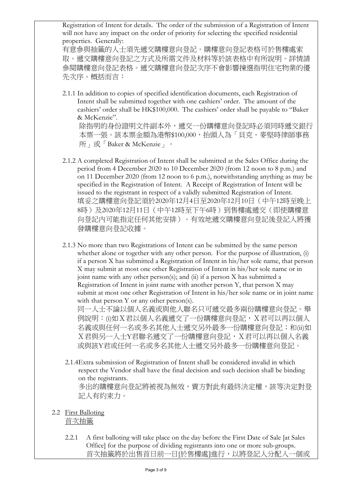Registration of Intent for details. The order of the submission of a Registration of Intent will not have any impact on the order of priority for selecting the specified residential properties. Generally:

有意參與抽籤的人士須先遞交購樓意向登記。購樓意向登記表格可於售樓處索 取。遞交購樓意向登記之方式及所需文件及材料等於該表格中有所說明。詳情請 參閱購樓意向登記表格。遞交購樓意向登記次序不會影響揀選指明住宅物業的優 先次序。概括而言:

2.1.1 In addition to copies of specified identification documents, each Registration of Intent shall be submitted together with one cashiers' order. The amount of the cashiers' order shall be HK\$100,000. The cashiers' order shall be payable to "Baker & McKenzie". 除指明的身份證明文件副本外,遞交一份購樓意向登記時必須同時遞交銀行

本票一張。該本票金額為港幣\$100,000,抬頭人為「貝克.麥堅時律師事務 所」或「Baker & McKenzie」。

- 2.1.2 A completed Registration of Intent shall be submitted at the Sales Office during the period from 4 December 2020 to 10 December 2020 (from 12 noon to 8 p.m.) and on 11 December 2020 (from 12 noon to 6 p.m.), notwithstanding anything as may be specified in the Registration of Intent. A Receipt of Registration of Intent will be issued to the registrant in respect of a validly submitted Registration of Intent. 填妥之購樓意向登記須於2020年12月4日至2020年12月10日(中午12時至晚上 8時)及2020年12月11日(中午12時至下午6時)到售樓處遞交(即使購樓意 向登記內可能指定任何其他安排)。有效地遞交購樓意向登記後登記人將獲 發購樓意向登記收據。
- 2.1.3 No more than two Registrations of Intent can be submitted by the same person whether alone or together with any other person. For the purpose of illustration, (i) if a person X has submitted a Registration of Intent in his/her sole name, that person X may submit at most one other Registration of Intent in his/her sole name or in joint name with any other person(s); and (ii) if a person X has submitted a Registration of Intent in joint name with another person Y, that person X may submit at most one other Registration of Intent in his/her sole name or in joint name with that person Y or any other person(s).

同一人士不論以個人名義或與他人聯名只可遞交最多兩份購樓意向登記。舉 例說明:(i)如X君以個人名義遞交了一份購樓意向登記,X君可以再以個人 名義或與任何一名或多名其他人士遞交另外最多一份購樓意向登記;和(ii)如 X君與另一人士Y君聯名遞交了一份購樓意向登記,X君可以再以個人名義 或與該Y君或任何一名或多名其他人士遞交另外最多一份購樓意向登記。

- 2.1.4Extra submission of Registration of Intent shall be considered invalid in which respect the Vendor shall have the final decision and such decision shall be binding on the registrants. 多出的購樓意向登記將被視為無效,賣方對此有最終決定權,該等決定對登 記人有約束力。
- 2.2 First Balloting 首次抽籤
	- 2.2.1 A first balloting will take place on the day before the First Date of Sale [at Sales Office] for the purpose of dividing registrants into one or more sub-groups. 首次抽籤將於出售首日前一日[於售樓處]進行,以將登記人分配入一個或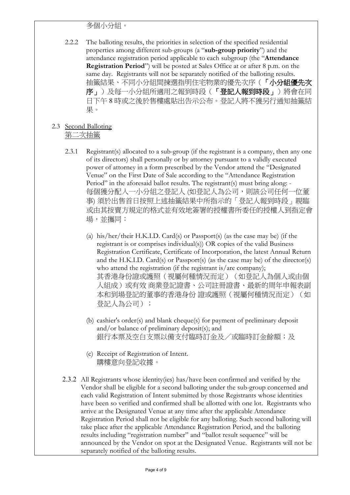## 多個小分組。

2.2.2 The balloting results, the priorities in selection of the specified residential properties among different sub-groups (a "**sub-group priority**") and the attendance registration period applicable to each subgroup (the "**Attendance Registration Period**") will be posted at Sales Office at or after 8 p.m. on the same day. Registrants will not be separately notified of the balloting results. 抽籤結果、不同小分組間揀選指明住宅物業的優先次序(「小分組優先次 序」)及每一小分組所適用之報到時段(「登記人報到時段」)將會在同 日下午 8 時或之後於售樓處貼出告示公布。登記人將不獲另行通知抽籤結 果。

## 2.3 Second Balloting 第二次抽籤

- 2.3.1 Registrant(s) allocated to a sub-group (if the registrant is a company, then any one of its directors) shall personally or by attorney pursuant to a validly executed power of attorney in a form prescribed by the Vendor attend the "Designated Venue" on the First Date of Sale according to the "Attendance Registration Period" in the aforesaid ballot results. The registrant(s) must bring along: -每個獲分配入一小分組之登記人 (如登記人為公司,則該公司任何一位董 事) 須於出售首日按照上述抽籤結果中所指示的「登記人報到時段」親臨 或由其按賣方規定的格式並有效地簽署的授權書所委任的授權人到指定會 場,並攜同:
	- (a) his/her/their H.K.I.D. Card(s) or Passport(s) (as the case may be) (if the registrant is or comprises individual(s)) OR copies of the valid Business Registration Certificate, Certificate of Incorporation, the latest Annual Return and the H.K.I.D. Card(s) or Passport(s) (as the case may be) of the director(s) who attend the registration (if the registrant is/are company); 其香港身份證或護照(視屬何種情況而定)(如登記人為個人或由個 人組成)或有效 商業登記證書、公司註冊證書、最新的周年申報表副 本和到場登記的董事的香港身份 證或護照(視屬何種情況而定)(如 登記人為公司);
	- (b) cashier's order(s) and blank cheque(s) for payment of preliminary deposit and/or balance of preliminary deposit(s); and 銀行本票及空白支票以備支付臨時訂金及/或臨時訂金餘額;及
	- (c) Receipt of Registration of Intent. 購樓意向登記收據。
- 2.3.2 All Registrants whose identity(ies) has/have been confirmed and verified by the Vendor shall be eligible for a second balloting under the sub-group concerned and each valid Registration of Intent submitted by those Registrants whose identities have been so verified and confirmed shall be allotted with one lot. Registrants who arrive at the Designated Venue at any time after the applicable Attendance Registration Period shall not be eligible for any balloting. Such second balloting will take place after the applicable Attendance Registration Period, and the balloting results including "registration number" and "ballot result sequence" will be announced by the Vendor on spot at the Designated Venue. Registrants will not be separately notified of the balloting results.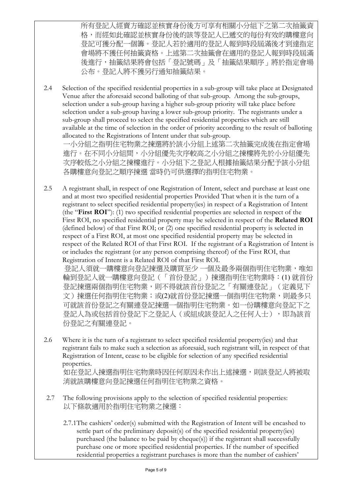所有登記人經賣方確認並核實身份後方可享有相關小分組下之第二次抽籤資 格,而經如此確認並核實身份後的該等登記人已遞交的每份有效的購樓意向 登記可獲分配一個籌。登記人若於適用的登記人報到時段屆滿後才到達指定 會場將不獲任何抽籤資格。上述第二次抽籤會在適用的登記人報到時段屆滿 後進行,抽籤結果將會包括「登記號碼」及「抽籤結果順序」將於指定會場 公布。登記人將不獲另行通知抽籤結果。

2.4 Selection of the specified residential properties in a sub-group will take place at Designated Venue after the aforesaid second balloting of that sub-group. Among the sub-groups, selection under a sub-group having a higher sub-group priority will take place before selection under a sub-group having a lower sub-group priority. The registrants under a sub-group shall proceed to select the specified residential properties which are still available at the time of selection in the order of priority according to the result of balloting allocated to the Registrations of Intent under that sub-group.

一小分組之指明住宅物業之揀選將於該小分組上述第二次抽籤完成後在指定會場 進行。在不同小分組間,小分組優先次序較高之小分組之揀樓將先於小分組優先 次序較低之小分組之揀樓進行。小分組下之登記人根據抽籤結果分配予該小分組 各購樓意向登記之順序揀選 當時仍可供選擇的指明住宅物業。

2.5 A registrant shall, in respect of one Registration of Intent, select and purchase at least one and at most two specified residential properties Provided That when it is the turn of a registrant to select specified residential property(ies) in respect of a Registration of Intent (the "**First ROI**"): (1) two specified residential properties are selected in respect of the First ROI, no specified residential property may be selected in respect of the **Related ROI** (defined below) of that First ROI; or (2) one specified residential property is selected in respect of a First ROI, at most one specified residential property may be selected in respect of the Related ROI of that First ROI. If the registrant of a Registration of Intent is or includes the registrant (or any person comprising thereof) of the First ROI, that Registration of Intent is a Related ROI of that First ROI.

登記人須就一購樓意向登記揀選及購買至少 一個及最多兩個指明住宅物業,唯如 輪到登記人就一購樓意向登記(「首份登記」)揀選指明住宅物業時:(1) 就首份 登記揀選兩個指明住宅物業,則不得就該首份登記之「有關連登記」(定義見下 文)揀選任何指明住宅物業;或(2)就首份登記揀選一個指明住宅物業,則最多只 可就該首份登記之有關連登記揀選一個指明住宅物業。如一份購樓意向登記下之 登記人為或包括首份登記下之登記人(或組成該登記人之任何人士),即為該首 份登記之有關連登記。

2.6 Where it is the turn of a registrant to select specified residential property(ies) and that registrant fails to make such a selection as aforesaid, such registrant will, in respect of that Registration of Intent, cease to be eligible for selection of any specified residential properties.

如在登記人揀選指明住宅物業時因任何原因未作出上述揀選,則該登記人將被取 消就該購樓意向登記揀選任何指明住宅物業之資格。

- 2.7 The following provisions apply to the selection of specified residential properties: 以下條款適用於指明住宅物業之揀選:
	- 2.7.1The cashiers' order(s) submitted with the Registration of Intent will be encashed to settle part of the preliminary deposit(s) of the specified residential property(ies) purchased (the balance to be paid by cheque(s)) if the registrant shall successfully purchase one or more specified residential properties. If the number of specified residential properties a registrant purchases is more than the number of cashiers'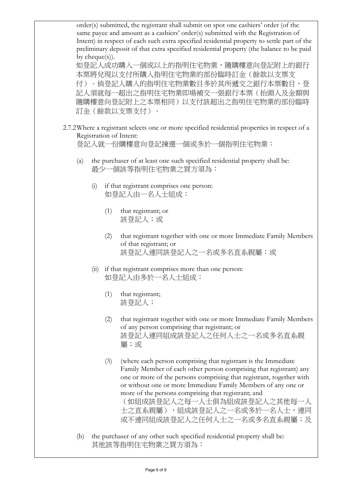order(s) submitted, the registrant shall submit on spot one cashiers' order (of the same payee and amount as a cashiers' order(s) submitted with the Registration of Intent) in respect of each such extra specified residential property to settle part of the preliminary deposit of that extra specified residential property (the balance to be paid by cheque(s)).

如登記人成功購入一個或以上的指明住宅物業,隨購樓意向登記附上的銀行 本票將兌現以支付所購入指明住宅物業的部份臨時訂金(餘款以支票支 付)。倘登記人購入的指明住宅物業數目多於其所遞交之銀行本票數目,登 記人須就每一超出之指明住宅物業即場補交一張銀行本票(抬頭人及金額與 隨購樓意向登記附上之本票相同)以支付該超出之指明住宅物業的部份臨時 訂金(餘款以支票支付)。

2.7.2Where a registrant selects one or more specified residential properties in respect of a Registration of Intent:

登記人就一份購樓意向登記揀選一個或多於一個指明住宅物業:

- (a) the purchaser of at least one such specified residential property shall be: 最少一個該等指明住宅物業之買方須為:
	- (i) if that registrant comprises one person: 如登記人由一名人士組成:
		- (1) that registrant; or 該登記人;或
		- (2) that registrant together with one or more Immediate Family Members of that registrant; or 該登記人連同該登記人之一名或多名直系親屬;或
	- (ii) if that registrant comprises more than one person: 如登記人由多於一名人士組成:
		- (1) that registrant; 該登記人;
		- (2) that registrant together with one or more Immediate Family Members of any person comprising that registrant; or 該登記人連同組成該登記人之任何人士之一名或多名直系親 屬;或
		- (3) (where each person comprising that registrant is the Immediate Family Member of each other person comprising that registrant) any one or more of the persons comprising that registrant, together with or without one or more Immediate Family Members of any one or more of the persons comprising that registrant; and

(如組成該登記人之每一人士俱為組成該登記人之其他每一人 士之直系親屬),組成該登記人之一名或多於一名人士,連同 或不連同組成該登記人之任何人士之一名或多名直系親屬;及

(b) the purchaser of any other such specified residential property shall be: 其他該等指明住宅物業之買方須為: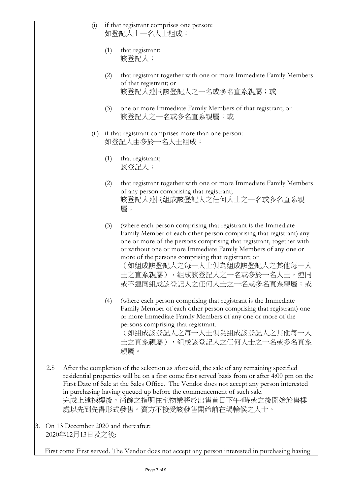|     | (i)                                                                                                                                                                                                                                                                                                                                                                                                                                    | if that registrant comprises one person:<br>如登記人由一名人士組成:             |                                                                                                                                                                                                                                                                                                                                                                                                                                  |
|-----|----------------------------------------------------------------------------------------------------------------------------------------------------------------------------------------------------------------------------------------------------------------------------------------------------------------------------------------------------------------------------------------------------------------------------------------|----------------------------------------------------------------------|----------------------------------------------------------------------------------------------------------------------------------------------------------------------------------------------------------------------------------------------------------------------------------------------------------------------------------------------------------------------------------------------------------------------------------|
|     |                                                                                                                                                                                                                                                                                                                                                                                                                                        | (1)                                                                  | that registrant;<br>該登記人;                                                                                                                                                                                                                                                                                                                                                                                                        |
|     |                                                                                                                                                                                                                                                                                                                                                                                                                                        | (2)                                                                  | that registrant together with one or more Immediate Family Members<br>of that registrant; or<br>該登記人連同該登記人之一名或多名直系親屬;或                                                                                                                                                                                                                                                                                                           |
|     |                                                                                                                                                                                                                                                                                                                                                                                                                                        | (3)                                                                  | one or more Immediate Family Members of that registrant; or<br>該登記人之一名或多名直系親屬;或                                                                                                                                                                                                                                                                                                                                                  |
|     | (ii)                                                                                                                                                                                                                                                                                                                                                                                                                                   | if that registrant comprises more than one person:<br>如登記人由多於一名人士組成: |                                                                                                                                                                                                                                                                                                                                                                                                                                  |
|     |                                                                                                                                                                                                                                                                                                                                                                                                                                        | (1)                                                                  | that registrant;<br>該登記人;                                                                                                                                                                                                                                                                                                                                                                                                        |
|     |                                                                                                                                                                                                                                                                                                                                                                                                                                        | (2)                                                                  | that registrant together with one or more Immediate Family Members<br>of any person comprising that registrant;<br>該登記人連同組成該登記人之任何人士之一名或多名直系親<br>屬;                                                                                                                                                                                                                                                                              |
|     |                                                                                                                                                                                                                                                                                                                                                                                                                                        | (3)                                                                  | (where each person comprising that registrant is the Immediate<br>Family Member of each other person comprising that registrant) any<br>one or more of the persons comprising that registrant, together with<br>or without one or more Immediate Family Members of any one or<br>more of the persons comprising that registrant; or<br>(如組成該登記人之每一人士俱為組成該登記人之其他每一人<br>士之直系親屬),組成該登記人之一名或多於一名人士,連同<br>或不連同組成該登記人之任何人士之一名或多名直系親屬;或 |
|     |                                                                                                                                                                                                                                                                                                                                                                                                                                        | (4)                                                                  | (where each person comprising that registrant is the Immediate<br>Family Member of each other person comprising that registrant) one<br>or more Immediate Family Members of any one or more of the<br>persons comprising that registrant.<br>(如組成該登記人之每一人士俱為組成該登記人之其他每一人<br>士之直系親屬), 組成該登記人之任何人士之一名或多名直系<br>親屬。                                                                                                                  |
| 2.8 | After the completion of the selection as aforesaid, the sale of any remaining specified<br>residential properties will be on a first come first served basis from or after 4:00 pm on the<br>First Date of Sale at the Sales Office. The Vendor does not accept any person interested<br>in purchasing having queued up before the commencement of such sale.<br>完成上述揀樓後,尚餘之指明住宅物業將於出售首日下午4時或之後開始於售樓<br>處以先到先得形式發售。賣方不接受該發售開始前在場輪候之人士。 |                                                                      |                                                                                                                                                                                                                                                                                                                                                                                                                                  |

3. On 13 December 2020 and thereafter: 2020年12月13日及之後:

First come First served. The Vendor does not accept any person interested in purchasing having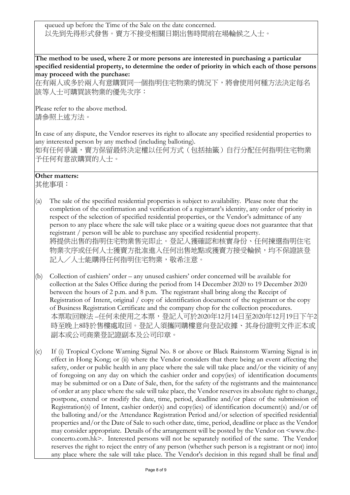queued up before the Time of the Sale on the date concerned. 以先到先得形式發售。賣方不接受相關日期出售時間前在場輪候之人士。

**The method to be used, where 2 or more persons are interested in purchasing a particular specified residential property, to determine the order of priority in which each of those persons may proceed with the purchase:**

在有兩人或多於兩人有意購買同一個指明住宅物業的情況下,將會使用何種方法決定每名 該等人士可購買該物業的優先次序:

Please refer to the above method. 請參照上述方法。

In case of any dispute, the Vendor reserves its right to allocate any specified residential properties to any interested person by any method (including balloting). 如有任何爭議,賣方保留最終決定權以任何方式(包括抽籤)自行分配任何指明住宅物業 予任何有意欲購買的人士。

## **Other matters:**

其他事項:

- (a) The sale of the specified residential properties is subject to availability. Please note that the completion of the confirmation and verification of a registrant's identity, any order of priority in respect of the selection of specified residential properties, or the Vendor's admittance of any person to any place where the sale will take place or a waiting queue does not guarantee that that registrant / person will be able to purchase any specified residential property. 將提供出售的指明住宅物業售完即止。登記人獲確認和核實身份、任何揀選指明住宅 物業次序或任何人進賣方批准進入任何出售地點或獲賣方接受輪候,均不保證該登 記人/人士能購得任何指明住宅物業,敬希注意。
- (b) Collection of cashiers' order any unused cashiers' order concerned will be available for collection at the Sales Office during the period from 14 December 2020 to 19 December 2020 between the hours of 2 p.m. and 8 p.m. The registrant shall bring along the Receipt of Registration of Intent, original / copy of identification document of the registrant or the copy of Business Registration Certificate and the company chop for the collection procedures. 本票取回辦法-任何未使用之本票,登記人可於2020年12月14日至2020年12月19日下午2 時至晚上8時於售樓處取回。登記人須攜同購樓意向登記收據、其身份證明文件正本或 副本或公司商業登記證副本及公司印章。
- (c) If (i) Tropical Cyclone Warning Signal No. 8 or above or Black Rainstorm Warning Signal is in effect in Hong Kong; or (ii) where the Vendor considers that there being an event affecting the safety, order or public health in any place where the sale will take place and/or the vicinity of any of foregoing on any day on which the cashier order and copy(ies) of identification documents may be submitted or on a Date of Sale, then, for the safety of the registrants and the maintenance of order at any place where the sale will take place, the Vendor reserves its absolute right to change, postpone, extend or modify the date, time, period, deadline and/or place of the submission of Registration(s) of Intent, cashier order(s) and copy(ies) of identification document(s) and/or of the balloting and/or the Attendance Registration Period and/or selection of specified residential properties and/or the Date of Sale to such other date, time, period, deadline or place as the Vendor may consider appropriate. Details of the arrangement will be posted by the Vendor on <www.theconcerto.com.hk>. Interested persons will not be separately notified of the same. The Vendor reserves the right to reject the entry of any person (whether such person is a registrant or not) into any place where the sale will take place. The Vendor's decision in this regard shall be final and